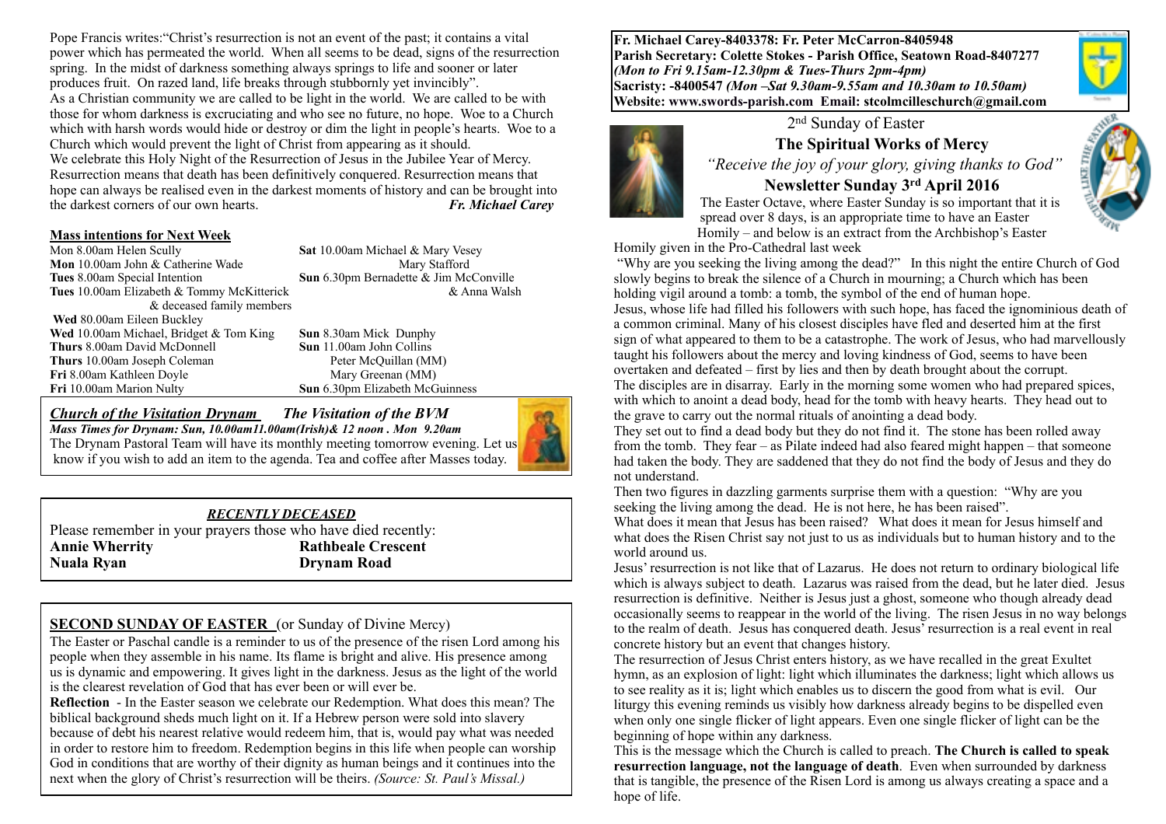Pope Francis writes:"Christ's resurrection is not an event of the past; it contains a vital power which has permeated the world. When all seems to be dead, signs of the resurrection spring. In the midst of darkness something always springs to life and sooner or later produces fruit. On razed land, life breaks through stubbornly yet invincibly". As a Christian community we are called to be light in the world. We are called to be with those for whom darkness is excruciating and who see no future, no hope. Woe to a Church which with harsh words would hide or destroy or dim the light in people's hearts. Woe to a Church which would prevent the light of Christ from appearing as it should. We celebrate this Holy Night of the Resurrection of Jesus in the Jubilee Year of Mercy. Resurrection means that death has been definitively conquered. Resurrection means that hope can always be realised even in the darkest moments of history and can be brought into the darkest corners of our own hearts. *Fr. Michael Carey*

# **Mass intentions for Next Week**<br>Mon 8.00am Helen Scully

**Mon** 10.00am John & Catherine Wade Mary Stafford **Tues 8.00am Special Intention <b>Sun 6.30pm Bernadette & Jim McConville**<br>**Tues 10.00am Elizabeth & Tommy McKitterick Sun a** Walsh Tues 10.00am Elizabeth & Tommy McKitterick & deceased family members **Wed** 80.00am Eileen Buckley **Wed** 10.00am Michael, Bridget & Tom King **Sun** 8.30am Mick Dunphy **Thurs** 8.00am David McDonnell **Sun** 11.00am John Collins **Thurs** 10.00am Joseph Coleman Peter McQuillan (MM)<br> **Fri** 8.00am Kathleen Dovle Mary Greenan (MM) **Fri** 8.00am Kathleen Doyle **Fri** 10.00am Marion Nulty **Sun** 6.30pm Elizabeth McGuinness

Sat 10.00am Michael & Mary Vesey

*Church of the Visitation Drynam**The Visitation of the BVM*



*Mass Times for Drynam: Sun, 10.00am11.00am(Irish)& 12 noon . Mon 9.20am*  The Drynam Pastoral Team will have its monthly meeting tomorrow evening. Let us know if you wish to add an item to the agenda. Tea and coffee after Masses today.

#### *RECENTLY DECEASED*

Please remember in your prayers those who have died recently: **Annie Wherrity Rathbeale Crescent Nuala Ryan Drynam Road** 

# **SECOND SUNDAY OF EASTER** (or Sunday of Divine Mercy)

The Easter or Paschal candle is a reminder to us of the presence of the risen Lord among his people when they assemble in his name. Its flame is bright and alive. His presence among us is dynamic and empowering. It gives light in the darkness. Jesus as the light of the world is the clearest revelation of God that has ever been or will ever be.

**Reflection** - In the Easter season we celebrate our Redemption. What does this mean? The biblical background sheds much light on it. If a Hebrew person were sold into slavery because of debt his nearest relative would redeem him, that is, would pay what was needed in order to restore him to freedom. Redemption begins in this life when people can worship God in conditions that are worthy of their dignity as human beings and it continues into the next when the glory of Christ's resurrection will be theirs. *(Source: St. Paul's Missal.)*

**Fr. Michael Carey-8403378: Fr. Peter McCarron-8405948 Parish Secretary: Colette Stokes - Parish Office, Seatown Road-8407277**  *(Mon to Fri 9.15am-12.30pm & Tues-Thurs 2pm-4pm)*  **Sacristy: -8400547** *(Mon –Sat 9.30am-9.55am and 10.30am to 10.50am)* **Website: [www.swords-parish.com Email:](http://www.swords-parish.com%20%20email) stcolmcilleschurch@gmail.com**



2nd Sunday of Easter

#### **The Spiritual Works of Mercy**

 *"Receive the joy of your glory, giving thanks to God"* 

# **Newsletter Sunday 3rd April 2016**

The Easter Octave, where Easter Sunday is so important that it is spread over 8 days, is an appropriate time to have an Easter Homily – and below is an extract from the Archbishop's Easter

Homily given in the Pro-Cathedral last week

 "Why are you seeking the living among the dead?" In this night the entire Church of God slowly begins to break the silence of a Church in mourning; a Church which has been holding vigil around a tomb: a tomb, the symbol of the end of human hope. Jesus, whose life had filled his followers with such hope, has faced the ignominious death of a common criminal. Many of his closest disciples have fled and deserted him at the first sign of what appeared to them to be a catastrophe. The work of Jesus, who had marvellously taught his followers about the mercy and loving kindness of God, seems to have been overtaken and defeated – first by lies and then by death brought about the corrupt. The disciples are in disarray. Early in the morning some women who had prepared spices, with which to anoint a dead body, head for the tomb with heavy hearts. They head out to the grave to carry out the normal rituals of anointing a dead body.

They set out to find a dead body but they do not find it. The stone has been rolled away from the tomb. They fear – as Pilate indeed had also feared might happen – that someone had taken the body. They are saddened that they do not find the body of Jesus and they do not understand.

Then two figures in dazzling garments surprise them with a question: "Why are you seeking the living among the dead. He is not here, he has been raised".

What does it mean that Jesus has been raised? What does it mean for Jesus himself and what does the Risen Christ say not just to us as individuals but to human history and to the world around us.

Jesus' resurrection is not like that of Lazarus. He does not return to ordinary biological life which is always subject to death. Lazarus was raised from the dead, but he later died. Jesus resurrection is definitive. Neither is Jesus just a ghost, someone who though already dead occasionally seems to reappear in the world of the living. The risen Jesus in no way belongs to the realm of death. Jesus has conquered death. Jesus' resurrection is a real event in real concrete history but an event that changes history.

The resurrection of Jesus Christ enters history, as we have recalled in the great Exultet hymn, as an explosion of light: light which illuminates the darkness; light which allows us to see reality as it is; light which enables us to discern the good from what is evil. Our liturgy this evening reminds us visibly how darkness already begins to be dispelled even when only one single flicker of light appears. Even one single flicker of light can be the beginning of hope within any darkness.

This is the message which the Church is called to preach. **The Church is called to speak resurrection language, not the language of death**. Even when surrounded by darkness that is tangible, the presence of the Risen Lord is among us always creating a space and a hope of life.